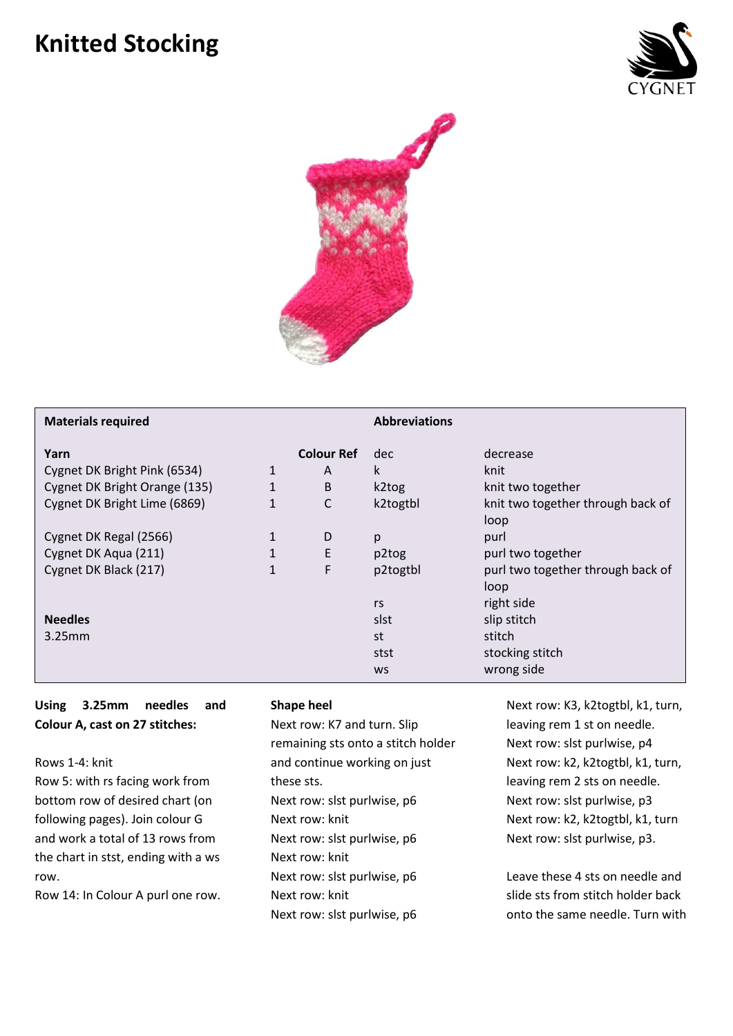## **Knitted Stocking**





| <b>Materials required</b>                                                                             |                                              |                                  | <b>Abbreviations</b>                  |                                                                                |
|-------------------------------------------------------------------------------------------------------|----------------------------------------------|----------------------------------|---------------------------------------|--------------------------------------------------------------------------------|
| Yarn<br>Cygnet DK Bright Pink (6534)<br>Cygnet DK Bright Orange (135)<br>Cygnet DK Bright Lime (6869) | $\mathbf{1}$<br>1<br>$\mathbf{1}$            | <b>Colour Ref</b><br>A<br>B<br>C | dec<br>k<br>k2tog<br>k2togtbl         | decrease<br>knit<br>knit two together<br>knit two together through back of     |
| Cygnet DK Regal (2566)<br>Cygnet DK Aqua (211)<br>Cygnet DK Black (217)                               | $\mathbf{1}$<br>$\mathbf{1}$<br>$\mathbf{1}$ | D<br>E<br>F                      | p<br>p2tog<br>p2togtbl                | loop<br>purl<br>purl two together<br>purl two together through back of<br>loop |
| <b>Needles</b><br>$3.25$ mm                                                                           |                                              |                                  | rs<br>slst<br>st<br>stst<br><b>WS</b> | right side<br>slip stitch<br>stitch<br>stocking stitch<br>wrong side           |

## **Using 3.25mm needles and Colour A, cast on 27 stitches:**

Rows 1-4: knit

Row 5: with rs facing work from bottom row of desired chart (on following pages). Join colour G and work a total of 13 rows from the chart in stst, ending with a ws row.

Row 14: In Colour A purl one row.

## **Shape heel**

Next row: K7 and turn. Slip remaining sts onto a stitch holder and continue working on just these sts. Next row: slst purlwise, p6 Next row: knit Next row: slst purlwise, p6 Next row: knit Next row: slst purlwise, p6 Next row: knit Next row: slst purlwise, p6

Next row: K3, k2togtbl, k1, turn, leaving rem 1 st on needle. Next row: slst purlwise, p4 Next row: k2, k2togtbl, k1, turn, leaving rem 2 sts on needle. Next row: slst purlwise, p3 Next row: k2, k2togtbl, k1, turn Next row: slst purlwise, p3.

Leave these 4 sts on needle and slide sts from stitch holder back onto the same needle. Turn with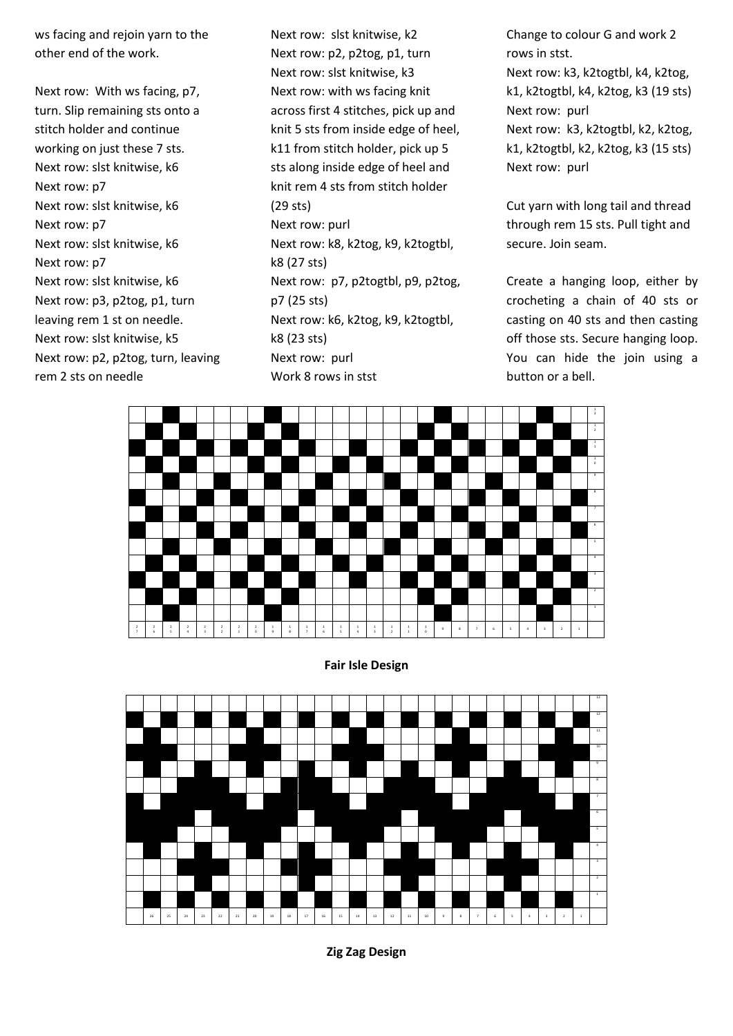ws facing and rejoin yarn to the other end of the work.

Next row: With ws facing, p7, turn. Slip remaining sts onto a stitch holder and continue working on just these 7 sts. Next row: slst knitwise, k6 Next row: p7 Next row: slst knitwise, k6 Next row: p7 Next row: slst knitwise, k6 Next row: p7 Next row: slst knitwise, k6 Next row: p3, p2tog, p1, turn leaving rem 1 st on needle. Next row: slst knitwise, k5 Next row: p2, p2tog, turn, leaving rem 2 sts on needle

Next row: slst knitwise, k2 Next row: p2, p2tog, p1, turn Next row: slst knitwise, k3 Next row: with ws facing knit across first 4 stitches, pick up and knit 5 sts from inside edge of heel, k11 from stitch holder, pick up 5 sts along inside edge of heel and knit rem 4 sts from stitch holder (29 sts) Next row: purl Next row: k8, k2tog, k9, k2togtbl, k8 (27 sts) Next row: p7, p2togtbl, p9, p2tog, p7 (25 sts) Next row: k6, k2tog, k9, k2togtbl, k8 (23 sts) Next row: purl Work 8 rows in stst

Change to colour G and work 2 rows in stst. Next row: k3, k2togtbl, k4, k2tog, k1, k2togtbl, k4, k2tog, k3 (19 sts) Next row: purl Next row: k3, k2togtbl, k2, k2tog, k1, k2togtbl, k2, k2tog, k3 (15 sts) Next row: purl

Cut yarn with long tail and thread through rem 15 sts. Pull tight and secure. Join seam.

Create a hanging loop, either by crocheting a chain of 40 sts or casting on 40 sts and then casting off those sts. Secure hanging loop. You can hide the join using a button or a bell.



**Fair Isle Design**



**Zig Zag Design**